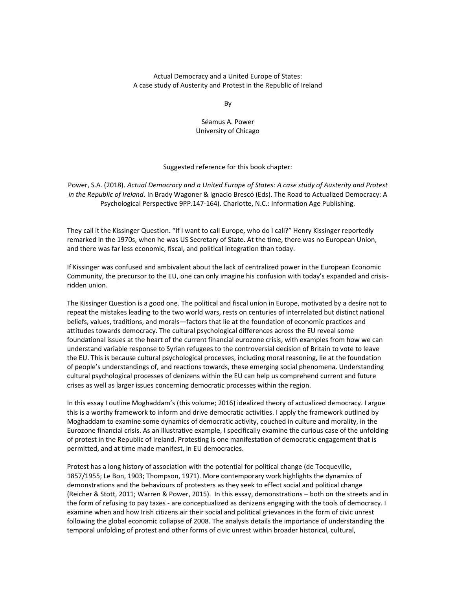# Actual Democracy and a United Europe of States: A case study of Austerity and Protest in the Republic of Ireland

By

Séamus A. Power University of Chicago

# Suggested reference for this book chapter:

Power, S.A. (2018). *Actual Democracy and a United Europe of States: A case study of Austerity and Protest in the Republic of Ireland*. In Brady Wagoner & Ignacio Brescó (Eds). The Road to Actualized Democracy: A Psychological Perspective 9PP.147-164). Charlotte, N.C.: Information Age Publishing.

They call it the Kissinger Question. "If I want to call Europe, who do I call?" Henry Kissinger reportedly remarked in the 1970s, when he was US Secretary of State. At the time, there was no European Union, and there was far less economic, fiscal, and political integration than today.

If Kissinger was confused and ambivalent about the lack of centralized power in the European Economic Community, the precursor to the EU, one can only imagine his confusion with today's expanded and crisisridden union.

The Kissinger Question is a good one. The political and fiscal union in Europe, motivated by a desire not to repeat the mistakes leading to the two world wars, rests on centuries of interrelated but distinct national beliefs, values, traditions, and morals—factors that lie at the foundation of economic practices and attitudes towards democracy. The cultural psychological differences across the EU reveal some foundational issues at the heart of the current financial eurozone crisis, with examples from how we can understand variable response to Syrian refugees to the controversial decision of Britain to vote to leave the EU. This is because cultural psychological processes, including moral reasoning, lie at the foundation of people's understandings of, and reactions towards, these emerging social phenomena. Understanding cultural psychological processes of denizens within the EU can help us comprehend current and future crises as well as larger issues concerning democratic processes within the region.

In this essay I outline Moghaddam's (this volume; 2016) idealized theory of actualized democracy. I argue this is a worthy framework to inform and drive democratic activities. I apply the framework outlined by Moghaddam to examine some dynamics of democratic activity, couched in culture and morality, in the Eurozone financial crisis. As an illustrative example, I specifically examine the curious case of the unfolding of protest in the Republic of Ireland. Protesting is one manifestation of democratic engagement that is permitted, and at time made manifest, in EU democracies.

Protest has a long history of association with the potential for political change (de Tocqueville, 1857/1955; Le Bon, 1903; Thompson, 1971). More contemporary work highlights the dynamics of demonstrations and the behaviours of protesters as they seek to effect social and political change (Reicher & Stott, 2011; Warren & Power, 2015). In this essay, demonstrations – both on the streets and in the form of refusing to pay taxes - are conceptualized as denizens engaging with the tools of democracy. I examine when and how Irish citizens air their social and political grievances in the form of civic unrest following the global economic collapse of 2008. The analysis details the importance of understanding the temporal unfolding of protest and other forms of civic unrest within broader historical, cultural,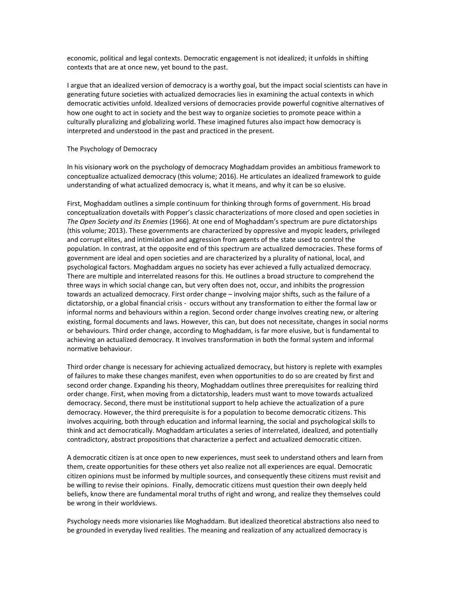economic, political and legal contexts. Democratic engagement is not idealized; it unfolds in shifting contexts that are at once new, yet bound to the past.

I argue that an idealized version of democracy is a worthy goal, but the impact social scientists can have in generating future societies with actualized democracies lies in examining the actual contexts in which democratic activities unfold. Idealized versions of democracies provide powerful cognitive alternatives of how one ought to act in society and the best way to organize societies to promote peace within a culturally pluralizing and globalizing world. These imagined futures also impact how democracy is interpreted and understood in the past and practiced in the present.

#### The Psychology of Democracy

In his visionary work on the psychology of democracy Moghaddam provides an ambitious framework to conceptualize actualized democracy (this volume; 2016). He articulates an idealized framework to guide understanding of what actualized democracy is, what it means, and why it can be so elusive.

First, Moghaddam outlines a simple continuum for thinking through forms of government. His broad conceptualization dovetails with Popper's classic characterizations of more closed and open societies in *The Open Society and its Enemies* (1966). At one end of Moghaddam's spectrum are pure dictatorships (this volume; 2013). These governments are characterized by oppressive and myopic leaders, privileged and corrupt elites, and intimidation and aggression from agents of the state used to control the population. In contrast, at the opposite end of this spectrum are actualized democracies. These forms of government are ideal and open societies and are characterized by a plurality of national, local, and psychological factors. Moghaddam argues no society has ever achieved a fully actualized democracy. There are multiple and interrelated reasons for this. He outlines a broad structure to comprehend the three ways in which social change can, but very often does not, occur, and inhibits the progression towards an actualized democracy. First order change – involving major shifts, such as the failure of a dictatorship, or a global financial crisis - occurs without any transformation to either the formal law or informal norms and behaviours within a region. Second order change involves creating new, or altering existing, formal documents and laws. However, this can, but does not necessitate, changes in social norms or behaviours. Third order change, according to Moghaddam, is far more elusive, but is fundamental to achieving an actualized democracy. It involves transformation in both the formal system and informal normative behaviour.

Third order change is necessary for achieving actualized democracy, but history is replete with examples of failures to make these changes manifest, even when opportunities to do so are created by first and second order change. Expanding his theory, Moghaddam outlines three prerequisites for realizing third order change. First, when moving from a dictatorship, leaders must want to move towards actualized democracy. Second, there must be institutional support to help achieve the actualization of a pure democracy. However, the third prerequisite is for a population to become democratic citizens. This involves acquiring, both through education and informal learning, the social and psychological skills to think and act democratically. Moghaddam articulates a series of interrelated, idealized, and potentially contradictory, abstract propositions that characterize a perfect and actualized democratic citizen.

A democratic citizen is at once open to new experiences, must seek to understand others and learn from them, create opportunities for these others yet also realize not all experiences are equal. Democratic citizen opinions must be informed by multiple sources, and consequently these citizens must revisit and be willing to revise their opinions. Finally, democratic citizens must question their own deeply held beliefs, know there are fundamental moral truths of right and wrong, and realize they themselves could be wrong in their worldviews.

Psychology needs more visionaries like Moghaddam. But idealized theoretical abstractions also need to be grounded in everyday lived realities. The meaning and realization of any actualized democracy is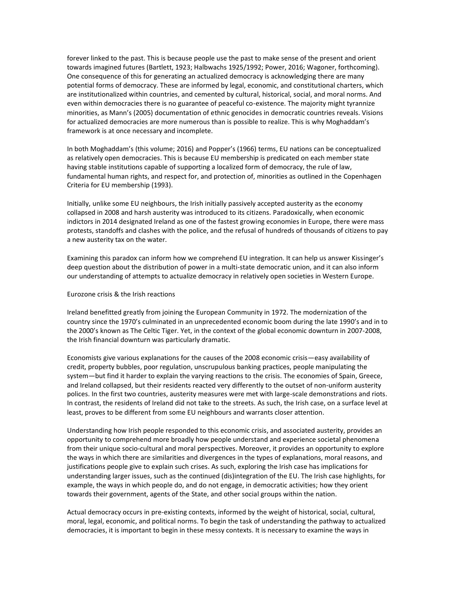forever linked to the past. This is because people use the past to make sense of the present and orient towards imagined futures (Bartlett, 1923; Halbwachs 1925/1992; Power, 2016; Wagoner, forthcoming). One consequence of this for generating an actualized democracy is acknowledging there are many potential forms of democracy. These are informed by legal, economic, and constitutional charters, which are institutionalized within countries, and cemented by cultural, historical, social, and moral norms. And even within democracies there is no guarantee of peaceful co-existence. The majority might tyrannize minorities, as Mann's (2005) documentation of ethnic genocides in democratic countries reveals. Visions for actualized democracies are more numerous than is possible to realize. This is why Moghaddam's framework is at once necessary and incomplete.

In both Moghaddam's (this volume; 2016) and Popper's (1966) terms, EU nations can be conceptualized as relatively open democracies. This is because EU membership is predicated on each member state having stable institutions capable of supporting a localized form of democracy, the rule of law, fundamental human rights, and respect for, and protection of, minorities as outlined in the Copenhagen Criteria for EU membership (1993).

Initially, unlike some EU neighbours, the Irish initially passively accepted austerity as the economy collapsed in 2008 and harsh austerity was introduced to its citizens. Paradoxically, when economic indictors in 2014 designated Ireland as one of the fastest growing economies in Europe, there were mass protests, standoffs and clashes with the police, and the refusal of hundreds of thousands of citizens to pay a new austerity tax on the water.

Examining this paradox can inform how we comprehend EU integration. It can help us answer Kissinger's deep question about the distribution of power in a multi-state democratic union, and it can also inform our understanding of attempts to actualize democracy in relatively open societies in Western Europe.

## Eurozone crisis & the Irish reactions

Ireland benefitted greatly from joining the European Community in 1972. The modernization of the country since the 1970's culminated in an unprecedented economic boom during the late 1990's and in to the 2000's known as The Celtic Tiger. Yet, in the context of the global economic downturn in 2007-2008, the Irish financial downturn was particularly dramatic.

Economists give various explanations for the causes of the 2008 economic crisis—easy availability of credit, property bubbles, poor regulation, unscrupulous banking practices, people manipulating the system—but find it harder to explain the varying reactions to the crisis. The economies of Spain, Greece, and Ireland collapsed, but their residents reacted very differently to the outset of non-uniform austerity polices. In the first two countries, austerity measures were met with large-scale demonstrations and riots. In contrast, the residents of Ireland did not take to the streets. As such, the Irish case, on a surface level at least, proves to be different from some EU neighbours and warrants closer attention.

Understanding how Irish people responded to this economic crisis, and associated austerity, provides an opportunity to comprehend more broadly how people understand and experience societal phenomena from their unique socio-cultural and moral perspectives. Moreover, it provides an opportunity to explore the ways in which there are similarities and divergences in the types of explanations, moral reasons, and justifications people give to explain such crises. As such, exploring the Irish case has implications for understanding larger issues, such as the continued (dis)integration of the EU. The Irish case highlights, for example, the ways in which people do, and do not engage, in democratic activities; how they orient towards their government, agents of the State, and other social groups within the nation.

Actual democracy occurs in pre-existing contexts, informed by the weight of historical, social, cultural, moral, legal, economic, and political norms. To begin the task of understanding the pathway to actualized democracies, it is important to begin in these messy contexts. It is necessary to examine the ways in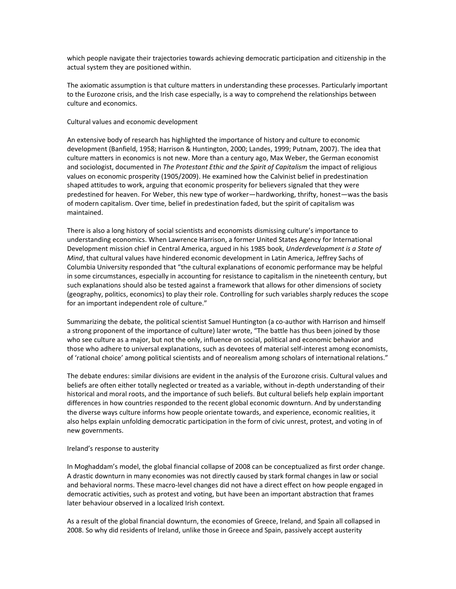which people navigate their trajectories towards achieving democratic participation and citizenship in the actual system they are positioned within.

The axiomatic assumption is that culture matters in understanding these processes. Particularly important to the Eurozone crisis, and the Irish case especially, is a way to comprehend the relationships between culture and economics.

## Cultural values and economic development

An extensive body of research has highlighted the importance of history and culture to economic development (Banfield, 1958; Harrison & Huntington, 2000; Landes, 1999; Putnam, 2007). The idea that culture matters in economics is not new. More than a century ago, Max Weber, the German economist and sociologist, documented in *The Protestant Ethic and the Spirit of Capitalism* the impact of religious values on economic prosperity (1905/2009). He examined how the Calvinist belief in predestination shaped attitudes to work, arguing that economic prosperity for believers signaled that they were predestined for heaven. For Weber, this new type of worker—hardworking, thrifty, honest—was the basis of modern capitalism. Over time, belief in predestination faded, but the spirit of capitalism was maintained.

There is also a long history of social scientists and economists dismissing culture's importance to understanding economics. When Lawrence Harrison, a former United States Agency for International Development mission chief in Central America, argued in his 1985 book, *Underdevelopment is a State of Mind*, that cultural values have hindered economic development in Latin America, Jeffrey Sachs of Columbia University responded that "the cultural explanations of economic performance may be helpful in some circumstances, especially in accounting for resistance to capitalism in the nineteenth century, but such explanations should also be tested against a framework that allows for other dimensions of society (geography, politics, economics) to play their role. Controlling for such variables sharply reduces the scope for an important independent role of culture."

Summarizing the debate, the political scientist Samuel Huntington (a co-author with Harrison and himself a strong proponent of the importance of culture) later wrote, "The battle has thus been joined by those who see culture as a major, but not the only, influence on social, political and economic behavior and those who adhere to universal explanations, such as devotees of material self-interest among economists, of 'rational choice' among political scientists and of neorealism among scholars of international relations."

The debate endures: similar divisions are evident in the analysis of the Eurozone crisis. Cultural values and beliefs are often either totally neglected or treated as a variable, without in-depth understanding of their historical and moral roots, and the importance of such beliefs. But cultural beliefs help explain important differences in how countries responded to the recent global economic downturn. And by understanding the diverse ways culture informs how people orientate towards, and experience, economic realities, it also helps explain unfolding democratic participation in the form of civic unrest, protest, and voting in of new governments.

#### Ireland's response to austerity

In Moghaddam's model, the global financial collapse of 2008 can be conceptualized as first order change. A drastic downturn in many economies was not directly caused by stark formal changes in law or social and behavioral norms. These macro-level changes did not have a direct effect on how people engaged in democratic activities, such as protest and voting, but have been an important abstraction that frames later behaviour observed in a localized Irish context.

As a result of the global financial downturn, the economies of Greece, Ireland, and Spain all collapsed in 2008. So why did residents of Ireland, unlike those in Greece and Spain, passively accept austerity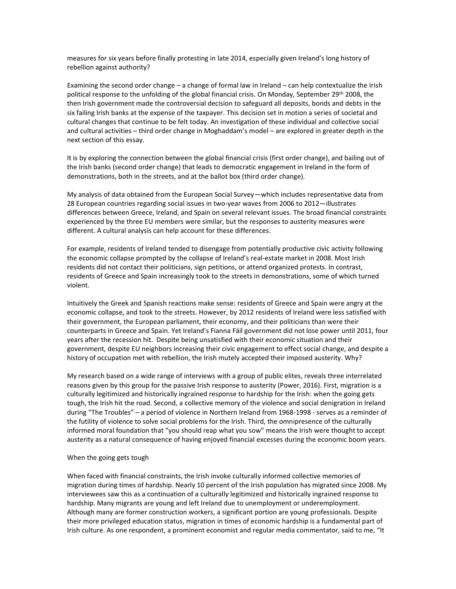measures for six years before finally protesting in late 2014, especially given Ireland's long history of rebellion against authority?

Examining the second order change – a change of formal law in Ireland – can help contextualize the Irish political response to the unfolding of the global financial crisis. On Monday, September 29th 2008, the then Irish government made the controversial decision to safeguard all deposits, bonds and debts in the six failing Irish banks at the expense of the taxpayer. This decision set in motion a series of societal and cultural changes that continue to be felt today. An investigation of these individual and collective social and cultural activities – third order change in Moghaddam's model – are explored in greater depth in the next section of this essay.

It is by exploring the connection between the global financial crisis (first order change), and bailing out of the Irish banks (second order change) that leads to democratic engagement in Ireland in the form of demonstrations, both in the streets, and at the ballot box (third order change).

My analysis of data obtained from the European Social Survey—which includes representative data from 28 European countries regarding social issues in two-year waves from 2006 to 2012—illustrates differences between Greece, Ireland, and Spain on several relevant issues. The broad financial constraints experienced by the three EU members were similar, but the responses to austerity measures were different. A cultural analysis can help account for these differences.

For example, residents of Ireland tended to disengage from potentially productive civic activity following the economic collapse prompted by the collapse of Ireland's real-estate market in 2008. Most Irish residents did not contact their politicians, sign petitions, or attend organized protests. In contrast, residents of Greece and Spain increasingly took to the streets in demonstrations, some of which turned violent.

Intuitively the Greek and Spanish reactions make sense: residents of Greece and Spain were angry at the economic collapse, and took to the streets. However, by 2012 residents of Ireland were less satisfied with their government, the European parliament, their economy, and their politicians than were their counterparts in Greece and Spain. Yet Ireland's Fianna Fáil government did not lose power until 2011, four years after the recession hit. Despite being unsatisfied with their economic situation and their government, despite EU neighbors increasing their civic engagement to effect social change, and despite a history of occupation met with rebellion, the Irish mutely accepted their imposed austerity. Why?

My research based on a wide range of interviews with a group of public elites, reveals three interrelated reasons given by this group for the passive Irish response to austerity (Power, 2016). First, migration is a culturally legitimized and historically ingrained response to hardship for the Irish: when the going gets tough, the Irish hit the road. Second, a collective memory of the violence and social denigration in Ireland during "The Troubles" – a period of violence in Northern Ireland from 1968-1998 - serves as a reminder of the futility of violence to solve social problems for the Irish. Third, the omnipresence of the culturally informed moral foundation that "you should reap what you sow" means the Irish were thought to accept austerity as a natural consequence of having enjoyed financial excesses during the economic boom years.

## When the going gets tough

When faced with financial constraints, the Irish invoke culturally informed collective memories of migration during times of hardship. Nearly 10 percent of the Irish population has migrated since 2008. My interviewees saw this as a continuation of a culturally legitimized and historically ingrained response to hardship. Many migrants are young and left Ireland due to unemployment or underemployment. Although many are former construction workers, a significant portion are young professionals. Despite their more privileged education status, migration in times of economic hardship is a fundamental part of Irish culture. As one respondent, a prominent economist and regular media commentator, said to me, "It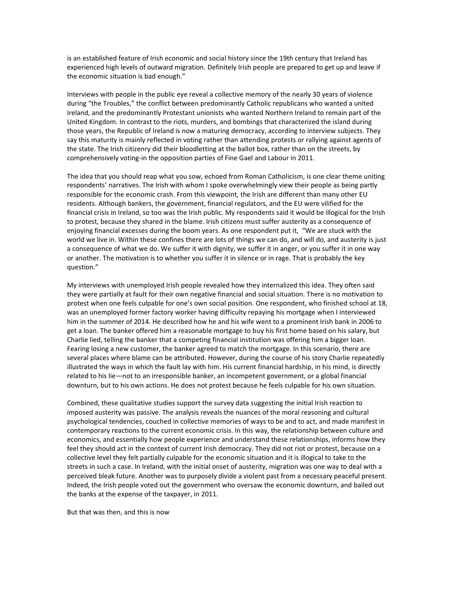is an established feature of Irish economic and social history since the 19th century that Ireland has experienced high levels of outward migration. Definitely Irish people are prepared to get up and leave if the economic situation is bad enough."

Interviews with people in the public eye reveal a collective memory of the nearly 30 years of violence during "the Troubles," the conflict between predominantly Catholic republicans who wanted a united Ireland, and the predominantly Protestant unionists who wanted Northern Ireland to remain part of the United Kingdom. In contrast to the riots, murders, and bombings that characterized the island during those years, the Republic of Ireland is now a maturing democracy, according to interview subjects. They say this maturity is mainly reflected in voting rather than attending protests or rallying against agents of the state. The Irish citizenry did their bloodletting at the ballot box, rather than on the streets, by comprehensively voting-in the opposition parties of Fine Gael and Labour in 2011.

The idea that you should reap what you sow, echoed from Roman Catholicism, is one clear theme uniting respondents' narratives. The Irish with whom I spoke overwhelmingly view their people as being partly responsible for the economic crash. From this viewpoint, the Irish are different than many other EU residents. Although bankers, the government, financial regulators, and the EU were vilified for the financial crisis in Ireland, so too was the Irish public. My respondents said it would be illogical for the Irish to protest, because they shared in the blame. Irish citizens must suffer austerity as a consequence of enjoying financial excesses during the boom years. As one respondent put it, "We are stuck with the world we live in. Within these confines there are lots of things we can do, and will do, and austerity is just a consequence of what we do. We suffer it with dignity, we suffer it in anger, or you suffer it in one way or another. The motivation is to whether you suffer it in silence or in rage. That is probably the key question."

My interviews with unemployed Irish people revealed how they internalized this idea. They often said they were partially at fault for their own negative financial and social situation. There is no motivation to protest when one feels culpable for one's own social position. One respondent, who finished school at 18, was an unemployed former factory worker having difficulty repaying his mortgage when I interviewed him in the summer of 2014. He described how he and his wife went to a prominent Irish bank in 2006 to get a loan. The banker offered him a reasonable mortgage to buy his first home based on his salary, but Charlie lied, telling the banker that a competing financial institution was offering him a bigger loan. Fearing losing a new customer, the banker agreed to match the mortgage. In this scenario, there are several places where blame can be attributed. However, during the course of his story Charlie repeatedly illustrated the ways in which the fault lay with him. His current financial hardship, in his mind, is directly related to his lie—not to an irresponsible banker, an incompetent government, or a global financial downturn, but to his own actions. He does not protest because he feels culpable for his own situation.

Combined, these qualitative studies support the survey data suggesting the initial Irish reaction to imposed austerity was passive. The analysis reveals the nuances of the moral reasoning and cultural psychological tendencies, couched in collective memories of ways to be and to act, and made manifest in contemporary reactions to the current economic crisis. In this way, the relationship between culture and economics, and essentially how people experience and understand these relationships, informs how they feel they should act in the context of current Irish democracy. They did not riot or protest, because on a collective level they felt partially culpable for the economic situation and it is illogical to take to the streets in such a case. In Ireland, with the initial onset of austerity, migration was one way to deal with a perceived bleak future. Another was to purposely divide a violent past from a necessary peaceful present. Indeed, the Irish people voted out the government who oversaw the economic downturn, and bailed out the banks at the expense of the taxpayer, in 2011.

But that was then, and this is now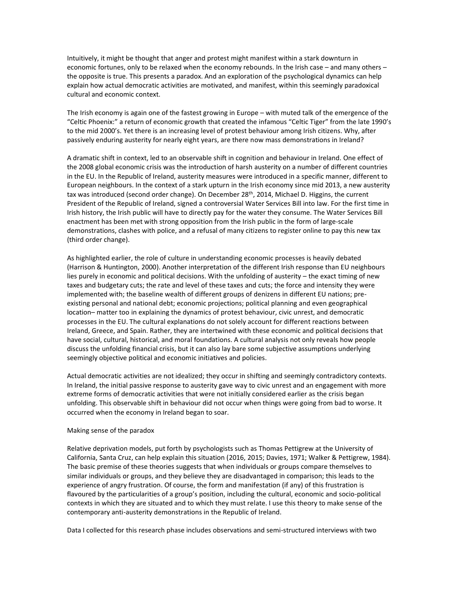Intuitively, it might be thought that anger and protest might manifest within a stark downturn in economic fortunes, only to be relaxed when the economy rebounds. In the Irish case – and many others – the opposite is true. This presents a paradox. And an exploration of the psychological dynamics can help explain how actual democratic activities are motivated, and manifest, within this seemingly paradoxical cultural and economic context.

The Irish economy is again one of the fastest growing in Europe – with muted talk of the emergence of the "Celtic Phoenix:" a return of economic growth that created the infamous "Celtic Tiger" from the late 1990's to the mid 2000's. Yet there is an increasing level of protest behaviour among Irish citizens. Why, after passively enduring austerity for nearly eight years, are there now mass demonstrations in Ireland?

A dramatic shift in context, led to an observable shift in cognition and behaviour in Ireland. One effect of the 2008 global economic crisis was the introduction of harsh austerity on a number of different countries in the EU. In the Republic of Ireland, austerity measures were introduced in a specific manner, different to European neighbours. In the context of a stark upturn in the Irish economy since mid 2013, a new austerity tax was introduced (second order change). On December 28<sup>th</sup>, 2014, Michael D. Higgins, the current President of the Republic of Ireland, signed a controversial Water Services Bill into law. For the first time in Irish history, the Irish public will have to directly pay for the water they consume. The Water Services Bill enactment has been met with strong opposition from the Irish public in the form of large-scale demonstrations, clashes with police, and a refusal of many citizens to register online to pay this new tax (third order change).

As highlighted earlier, the role of culture in understanding economic processes is heavily debated (Harrison & Huntington, 2000). Another interpretation of the different Irish response than EU neighbours lies purely in economic and political decisions. With the unfolding of austerity – the exact timing of new taxes and budgetary cuts; the rate and level of these taxes and cuts; the force and intensity they were implemented with; the baseline wealth of different groups of denizens in different EU nations; preexisting personal and national debt; economic projections; political planning and even geographical location– matter too in explaining the dynamics of protest behaviour, civic unrest, and democratic processes in the EU. The cultural explanations do not solely account for different reactions between Ireland, Greece, and Spain. Rather, they are intertwined with these economic and political decisions that have social, cultural, historical, and moral foundations. A cultural analysis not only reveals how people discuss the unfolding financial crisis, but it can also lay bare some subjective assumptions underlying seemingly objective political and economic initiatives and policies.

Actual democratic activities are not idealized; they occur in shifting and seemingly contradictory contexts. In Ireland, the initial passive response to austerity gave way to civic unrest and an engagement with more extreme forms of democratic activities that were not initially considered earlier as the crisis began unfolding. This observable shift in behaviour did not occur when things were going from bad to worse. It occurred when the economy in Ireland began to soar.

## Making sense of the paradox

Relative deprivation models, put forth by psychologists such as Thomas Pettigrew at the University of California, Santa Cruz, can help explain this situation (2016, 2015; Davies, 1971; Walker & Pettigrew, 1984). The basic premise of these theories suggests that when individuals or groups compare themselves to similar individuals or groups, and they believe they are disadvantaged in comparison; this leads to the experience of angry frustration. Of course, the form and manifestation (if any) of this frustration is flavoured by the particularities of a group's position, including the cultural, economic and socio-political contexts in which they are situated and to which they must relate. I use this theory to make sense of the contemporary anti-austerity demonstrations in the Republic of Ireland.

Data I collected for this research phase includes observations and semi-structured interviews with two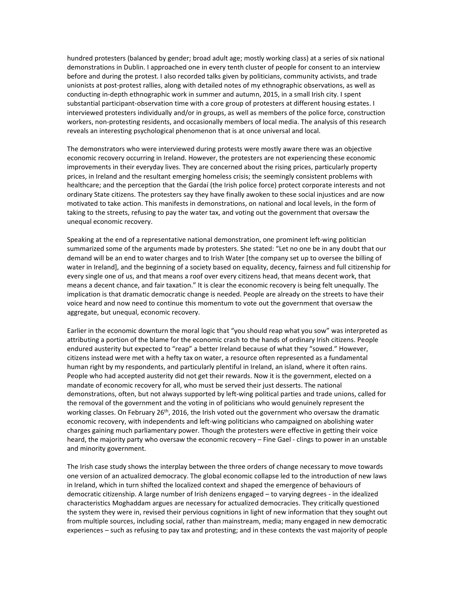hundred protesters (balanced by gender; broad adult age; mostly working class) at a series of six national demonstrations in Dublin. I approached one in every tenth cluster of people for consent to an interview before and during the protest. I also recorded talks given by politicians, community activists, and trade unionists at post-protest rallies, along with detailed notes of my ethnographic observations, as well as conducting in-depth ethnographic work in summer and autumn, 2015, in a small Irish city. I spent substantial participant-observation time with a core group of protesters at different housing estates. I interviewed protesters individually and/or in groups, as well as members of the police force, construction workers, non-protesting residents, and occasionally members of local media. The analysis of this research reveals an interesting psychological phenomenon that is at once universal and local.

The demonstrators who were interviewed during protests were mostly aware there was an objective economic recovery occurring in Ireland. However, the protesters are not experiencing these economic improvements in their everyday lives. They are concerned about the rising prices, particularly property prices, in Ireland and the resultant emerging homeless crisis; the seemingly consistent problems with healthcare; and the perception that the Gardaí (the Irish police force) protect corporate interests and not ordinary State citizens. The protesters say they have finally awoken to these social injustices and are now motivated to take action. This manifests in demonstrations, on national and local levels, in the form of taking to the streets, refusing to pay the water tax, and voting out the government that oversaw the unequal economic recovery.

Speaking at the end of a representative national demonstration, one prominent left-wing politician summarized some of the arguments made by protesters. She stated: "Let no one be in any doubt that our demand will be an end to water charges and to Irish Water [the company set up to oversee the billing of water in Ireland], and the beginning of a society based on equality, decency, fairness and full citizenship for every single one of us, and that means a roof over every citizens head, that means decent work, that means a decent chance, and fair taxation." It is clear the economic recovery is being felt unequally. The implication is that dramatic democratic change is needed. People are already on the streets to have their voice heard and now need to continue this momentum to vote out the government that oversaw the aggregate, but unequal, economic recovery.

Earlier in the economic downturn the moral logic that "you should reap what you sow" was interpreted as attributing a portion of the blame for the economic crash to the hands of ordinary Irish citizens. People endured austerity but expected to "reap" a better Ireland because of what they "sowed." However, citizens instead were met with a hefty tax on water, a resource often represented as a fundamental human right by my respondents, and particularly plentiful in Ireland, an island, where it often rains. People who had accepted austerity did not get their rewards. Now it is the government, elected on a mandate of economic recovery for all, who must be served their just desserts. The national demonstrations, often, but not always supported by left-wing political parties and trade unions, called for the removal of the government and the voting in of politicians who would genuinely represent the working classes. On February 26<sup>th</sup>, 2016, the Irish voted out the government who oversaw the dramatic economic recovery, with independents and left-wing politicians who campaigned on abolishing water charges gaining much parliamentary power. Though the protesters were effective in getting their voice heard, the majority party who oversaw the economic recovery – Fine Gael - clings to power in an unstable and minority government.

The Irish case study shows the interplay between the three orders of change necessary to move towards one version of an actualized democracy. The global economic collapse led to the introduction of new laws in Ireland, which in turn shifted the localized context and shaped the emergence of behaviours of democratic citizenship. A large number of Irish denizens engaged – to varying degrees - in the idealized characteristics Moghaddam argues are necessary for actualized democracies. They critically questioned the system they were in, revised their pervious cognitions in light of new information that they sought out from multiple sources, including social, rather than mainstream, media; many engaged in new democratic experiences – such as refusing to pay tax and protesting; and in these contexts the vast majority of people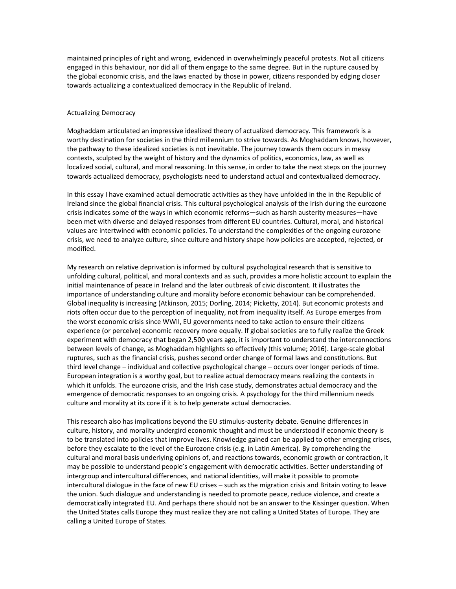maintained principles of right and wrong, evidenced in overwhelmingly peaceful protests. Not all citizens engaged in this behaviour, nor did all of them engage to the same degree. But in the rupture caused by the global economic crisis, and the laws enacted by those in power, citizens responded by edging closer towards actualizing a contextualized democracy in the Republic of Ireland.

## Actualizing Democracy

Moghaddam articulated an impressive idealized theory of actualized democracy. This framework is a worthy destination for societies in the third millennium to strive towards. As Moghaddam knows, however, the pathway to these idealized societies is not inevitable. The journey towards them occurs in messy contexts, sculpted by the weight of history and the dynamics of politics, economics, law, as well as localized social, cultural, and moral reasoning. In this sense, in order to take the next steps on the journey towards actualized democracy, psychologists need to understand actual and contextualized democracy.

In this essay I have examined actual democratic activities as they have unfolded in the in the Republic of Ireland since the global financial crisis. This cultural psychological analysis of the Irish during the eurozone crisis indicates some of the ways in which economic reforms—such as harsh austerity measures—have been met with diverse and delayed responses from different EU countries. Cultural, moral, and historical values are intertwined with economic policies. To understand the complexities of the ongoing eurozone crisis, we need to analyze culture, since culture and history shape how policies are accepted, rejected, or modified.

My research on relative deprivation is informed by cultural psychological research that is sensitive to unfolding cultural, political, and moral contexts and as such, provides a more holistic account to explain the initial maintenance of peace in Ireland and the later outbreak of civic discontent. It illustrates the importance of understanding culture and morality before economic behaviour can be comprehended. Global inequality is increasing (Atkinson, 2015; Dorling, 2014; Picketty, 2014). But economic protests and riots often occur due to the perception of inequality, not from inequality itself. As Europe emerges from the worst economic crisis since WWII, EU governments need to take action to ensure their citizens experience (or perceive) economic recovery more equally. If global societies are to fully realize the Greek experiment with democracy that began 2,500 years ago, it is important to understand the interconnections between levels of change, as Moghaddam highlights so effectively (this volume; 2016). Large-scale global ruptures, such as the financial crisis, pushes second order change of formal laws and constitutions. But third level change – individual and collective psychological change – occurs over longer periods of time. European integration is a worthy goal, but to realize actual democracy means realizing the contexts in which it unfolds. The eurozone crisis, and the Irish case study, demonstrates actual democracy and the emergence of democratic responses to an ongoing crisis. A psychology for the third millennium needs culture and morality at its core if it is to help generate actual democracies.

This research also has implications beyond the EU stimulus-austerity debate. Genuine differences in culture, history, and morality undergird economic thought and must be understood if economic theory is to be translated into policies that improve lives. Knowledge gained can be applied to other emerging crises, before they escalate to the level of the Eurozone crisis (e.g. in Latin America). By comprehending the cultural and moral basis underlying opinions of, and reactions towards, economic growth or contraction, it may be possible to understand people's engagement with democratic activities. Better understanding of intergroup and intercultural differences, and national identities, will make it possible to promote intercultural dialogue in the face of new EU crises – such as the migration crisis and Britain voting to leave the union. Such dialogue and understanding is needed to promote peace, reduce violence, and create a democratically integrated EU. And perhaps there should not be an answer to the Kissinger question. When the United States calls Europe they must realize they are not calling a United States of Europe. They are calling a United Europe of States.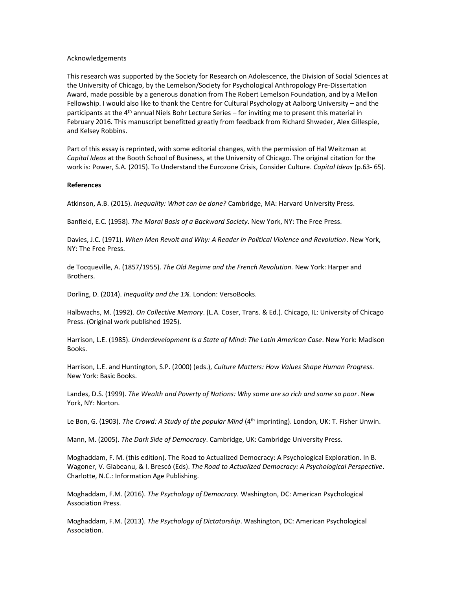### Acknowledgements

This research was supported by the Society for Research on Adolescence, the Division of Social Sciences at the University of Chicago, by the Lemelson/Society for Psychological Anthropology Pre-Dissertation Award, made possible by a generous donation from The Robert Lemelson Foundation, and by a Mellon Fellowship. I would also like to thank the Centre for Cultural Psychology at Aalborg University – and the participants at the 4<sup>th</sup> annual Niels Bohr Lecture Series – for inviting me to present this material in February 2016. This manuscript benefitted greatly from feedback from Richard Shweder, Alex Gillespie, and Kelsey Robbins.

Part of this essay is reprinted, with some editorial changes, with the permission of Hal Weitzman at *Capital Ideas* at the Booth School of Business, at the University of Chicago. The original citation for the work is: Power, S.A. (2015). To Understand the Eurozone Crisis, Consider Culture. *Capital Ideas* (p.63- 65).

## **References**

Atkinson, A.B. (2015). *Inequality: What can be done?* Cambridge, MA: Harvard University Press.

Banfield, E.C. (1958). *The Moral Basis of a Backward Society*. New York, NY: The Free Press.

Davies, J.C. (1971). *When Men Revolt and Why: A Reader in Political Violence and Revolution*. New York, NY: The Free Press.

de Tocqueville, A. (1857/1955). *The Old Regime and the French Revolution.* New York: Harper and Brothers.

Dorling, D. (2014). *Inequality and the 1%.* London: VersoBooks.

Halbwachs, M. (1992). *On Collective Memory*. (L.A. Coser, Trans. & Ed.). Chicago, IL: University of Chicago Press. (Original work published 1925).

Harrison, L.E. (1985). *Underdevelopment Is a State of Mind: The Latin American Case*. New York: Madison Books.

Harrison, L.E. and Huntington, S.P. (2000) (eds.), *Culture Matters: How Values Shape Human Progress.* New York: Basic Books.

Landes, D.S. (1999). *The Wealth and Poverty of Nations: Why some are so rich and some so poor*. New York, NY: Norton.

Le Bon, G. (1903). *The Crowd: A Study of the popular Mind* (4<sup>th</sup> imprinting). London, UK: T. Fisher Unwin.

Mann, M. (2005). *The Dark Side of Democracy*. Cambridge, UK: Cambridge University Press.

Moghaddam, F. M. (this edition). The Road to Actualized Democracy: A Psychological Exploration. In B. Wagoner, V. Glabeanu, & I. Brescó (Eds). *The Road to Actualized Democracy: A Psychological Perspective*. Charlotte, N.C.: Information Age Publishing.

Moghaddam, F.M. (2016). *The Psychology of Democracy.* Washington, DC: American Psychological Association Press.

Moghaddam, F.M. (2013). *The Psychology of Dictatorship*. Washington, DC: American Psychological Association.